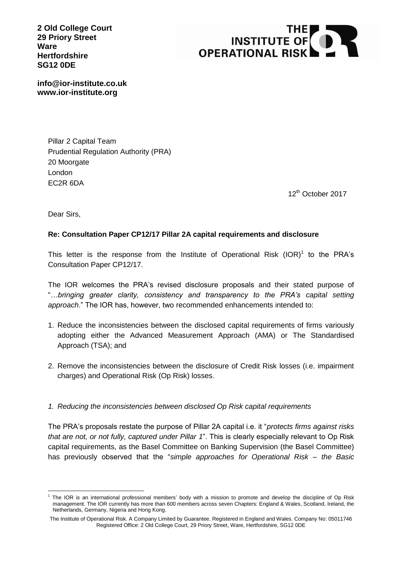**2 Old College Court 29 Priory Street Ware Hertfordshire SG12 0DE**



**info@ior-institute.co.uk www.ior-institute.org**

> Pillar 2 Capital Team Prudential Regulation Authority (PRA) 20 Moorgate London EC2R 6DA

> > 12<sup>th</sup> October 2017

Dear Sirs,

## **Re: Consultation Paper CP12/17 Pillar 2A capital requirements and disclosure**

This letter is the response from the Institute of Operational Risk  $(IOR)^1$  to the PRA's Consultation Paper CP12/17.

The IOR welcomes the PRA's revised disclosure proposals and their stated purpose of "*…bringing greater clarity, consistency and transparency to the PRA's capital setting approach*." The IOR has, however, two recommended enhancements intended to:

- 1. Reduce the inconsistencies between the disclosed capital requirements of firms variously adopting either the Advanced Measurement Approach (AMA) or The Standardised Approach (TSA); and
- 2. Remove the inconsistencies between the disclosure of Credit Risk losses (i.e. impairment charges) and Operational Risk (Op Risk) losses.
- *1. Reducing the inconsistencies between disclosed Op Risk capital requirements*

The PRA's proposals restate the purpose of Pillar 2A capital i.e. it "*protects firms against risks that are not, or not fully, captured under Pillar 1*". This is clearly especially relevant to Op Risk capital requirements, as the Basel Committee on Banking Supervision (the Basel Committee) has previously observed that the "*simple approaches for Operational Risk – the Basic* 

<sup>1</sup> 1 The IOR is an international professional members' body with a mission to promote and develop the discipline of Op Risk management. The IOR currently has more than 600 members across seven Chapters: England & Wales, Scotland, Ireland, the Netherlands, Germany, Nigeria and Hong Kong.

The Institute of Operational Risk. A Company Limited by Guarantee. Registered in England and Wales. Company No: 05011746 Registered Office: 2 Old College Court, 29 Priory Street, Ware, Hertfordshire, SG12 0DE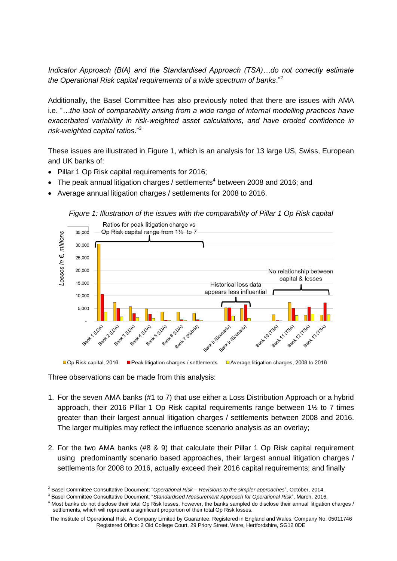*Indicator Approach (BIA) and the Standardised Approach (TSA)…do not correctly estimate the Operational Risk capital requirements of a wide spectrum of banks*."<sup>2</sup>

Additionally, the Basel Committee has also previously noted that there are issues with AMA i.e. "*…the lack of comparability arising from a wide range of internal modelling practices have exacerbated variability in risk-weighted asset calculations, and have eroded confidence in risk-weighted capital ratios*." 3

These issues are illustrated in Figure 1, which is an analysis for 13 large US, Swiss, European and UK banks of:

- Pillar 1 Op Risk capital requirements for 2016;
- $\bullet$  The peak annual litigation charges / settlements<sup>4</sup> between 2008 and 2016; and
- Average annual litigation charges / settlements for 2008 to 2016.





Peak litigation charges / settlements □ Op Risk capital, 2016 □ Average litigation charges, 2008 to 2016

Three observations can be made from this analysis:

- 1. For the seven AMA banks (#1 to 7) that use either a Loss Distribution Approach or a hybrid approach, their 2016 Pillar 1 Op Risk capital requirements range between  $1\frac{1}{2}$  to 7 times greater than their largest annual litigation charges / settlements between 2008 and 2016. The larger multiples may reflect the influence scenario analysis as an overlay;
- 2. For the two AMA banks (#8 & 9) that calculate their Pillar 1 Op Risk capital requirement using predominantly scenario based approaches, their largest annual litigation charges / settlements for 2008 to 2016, actually exceed their 2016 capital requirements; and finally

<sup>&</sup>lt;u>.</u> <sup>2</sup> Basel Committee Consultative Document: "*Operational Risk – Revisions to the simpler approaches*", October, 2014.

<sup>3</sup> Basel Committee Consultative Document: "*Standardised Measurement Approach for Operational Risk*", March, 2016.

<sup>4</sup> Most banks do not disclose their total Op Risk losses, however, the banks sampled do disclose their annual litigation charges / settlements, which will represent a significant proportion of their total Op Risk losses.

The Institute of Operational Risk. A Company Limited by Guarantee. Registered in England and Wales. Company No: 05011746 Registered Office: 2 Old College Court, 29 Priory Street, Ware, Hertfordshire, SG12 0DE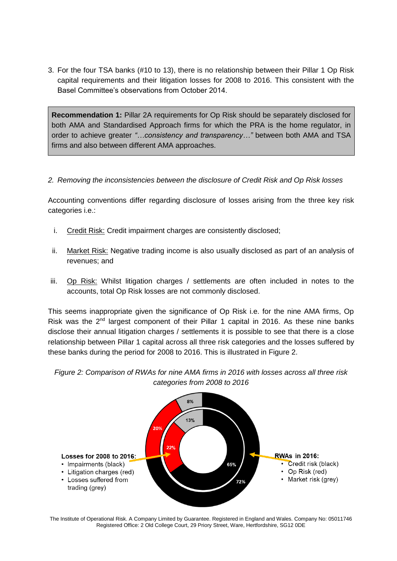3. For the four TSA banks (#10 to 13), there is no relationship between their Pillar 1 Op Risk capital requirements and their litigation losses for 2008 to 2016. This consistent with the Basel Committee's observations from October 2014.

**Recommendation 1:** Pillar 2A requirements for Op Risk should be separately disclosed for both AMA and Standardised Approach firms for which the PRA is the home regulator, in order to achieve greater *"…consistency and transparency…"* between both AMA and TSA firms and also between different AMA approaches.

## *2. Removing the inconsistencies between the disclosure of Credit Risk and Op Risk losses*

Accounting conventions differ regarding disclosure of losses arising from the three key risk categories i.e.:

- i. Credit Risk: Credit impairment charges are consistently disclosed;
- ii. Market Risk: Negative trading income is also usually disclosed as part of an analysis of revenues; and
- iii. Op Risk: Whilst litigation charges / settlements are often included in notes to the accounts, total Op Risk losses are not commonly disclosed.

This seems inappropriate given the significance of Op Risk i.e. for the nine AMA firms, Op Risk was the  $2^{nd}$  largest component of their Pillar 1 capital in 2016. As these nine banks disclose their annual litigation charges / settlements it is possible to see that there is a close relationship between Pillar 1 capital across all three risk categories and the losses suffered by these banks during the period for 2008 to 2016. This is illustrated in Figure 2.

*Figure 2: Comparison of RWAs for nine AMA firms in 2016 with losses across all three risk categories from 2008 to 2016*



The Institute of Operational Risk. A Company Limited by Guarantee. Registered in England and Wales. Company No: 05011746 Registered Office: 2 Old College Court, 29 Priory Street, Ware, Hertfordshire, SG12 0DE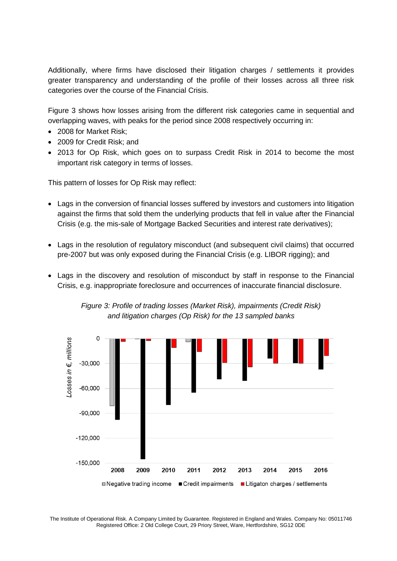Additionally, where firms have disclosed their litigation charges / settlements it provides greater transparency and understanding of the profile of their losses across all three risk categories over the course of the Financial Crisis.

Figure 3 shows how losses arising from the different risk categories came in sequential and overlapping waves, with peaks for the period since 2008 respectively occurring in:

- 2008 for Market Risk:
- 2009 for Credit Risk; and
- 2013 for Op Risk, which goes on to surpass Credit Risk in 2014 to become the most important risk category in terms of losses.

This pattern of losses for Op Risk may reflect:

- Lags in the conversion of financial losses suffered by investors and customers into litigation against the firms that sold them the underlying products that fell in value after the Financial Crisis (e.g. the mis-sale of Mortgage Backed Securities and interest rate derivatives);
- Lags in the resolution of regulatory misconduct (and subsequent civil claims) that occurred pre-2007 but was only exposed during the Financial Crisis (e.g. LIBOR rigging); and
- Lags in the discovery and resolution of misconduct by staff in response to the Financial Crisis, e.g. inappropriate foreclosure and occurrences of inaccurate financial disclosure.



*Figure 3: Profile of trading losses (Market Risk), impairments (Credit Risk) and litigation charges (Op Risk) for the 13 sampled banks*

The Institute of Operational Risk. A Company Limited by Guarantee. Registered in England and Wales. Company No: 05011746 Registered Office: 2 Old College Court, 29 Priory Street, Ware, Hertfordshire, SG12 0DE